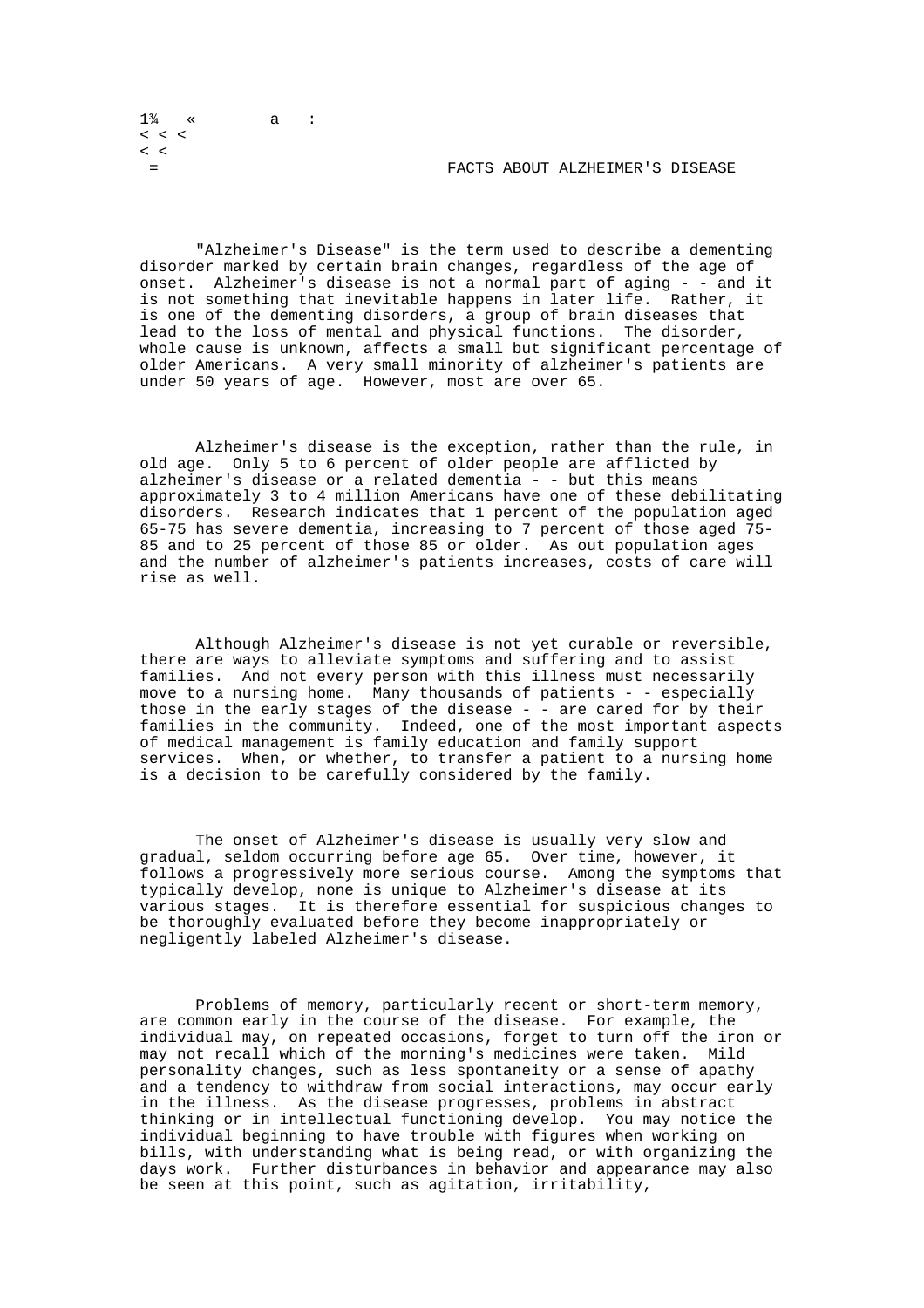$1\frac{3}{4}$  « a :  $\langle \; < \; < \; <$ < <ٛ ٛ ٛ ٛ ٛ ٛ ٛ ٛ ٛ ٛ ٛ ٛ ٛ ٛ ٛ ٛ ٛ ٛ ٛ ٛ ٛ ٛ ٛ ٛ ٛ ٛ ٛ ٛ ٛ ٛ ٛ ٛ ٛ ٛ ٛ ٛ ٛ ٛ ٛ ٛ ٛ ٛ ٛ ٛ ٛ ٛ ٛ ٛ ٛ ٛ ٛ ٛ ٛ ٛ ٛ ٛ ٛ ٛ ٛ ٛ ٛ ٛ ٛ ٛ ٛ ٛ ٛ

## $=$   $\blacksquare$

"Alzheimer's Disease" is the term used to describe a dementing disorder marked by certain brain changes, regardless of the age of onset. Alzheimer's disease is not a normal part of aging - - and it is not something that inevitable happens in later life. Rather, it is one of the dementing disorders, a group of brain diseases that lead to the loss of mental and physical functions. The disorder, whole cause is unknown, affects a small but significant percentage of older Americans. A very small minority of alzheimer's patients are under 50 years of age. However, most are over 65.

Alzheimer's disease is the exception, rather than the rule, in old age. Only 5 to 6 percent of older people are afflicted by alzheimer's disease or a related dementia - - but this means approximately 3 to 4 million Americans have one of these debilitating disorders. Research indicates that 1 percent of the population aged 65-75 has severe dementia, increasing to 7 percent of those aged 75- 85 and to 25 percent of those 85 or older. As out population ages and the number of alzheimer's patients increases, costs of care will rise as well.

Although Alzheimer's disease is not yet curable or reversible, there are ways to alleviate symptoms and suffering and to assist families. And not every person with this illness must necessarily move to a nursing home. Many thousands of patients - - especially those in the early stages of the disease - - are cared for by their families in the community. Indeed, one of the most important aspects of medical management is family education and family support services. When, or whether, to transfer a patient to a nursing home is a decision to be carefully considered by the family.

The onset of Alzheimer's disease is usually very slow and gradual, seldom occurring before age 65. Over time, however, it follows a progressively more serious course. Among the symptoms that typically develop, none is unique to Alzheimer's disease at its various stages. It is therefore essential for suspicious changes to be thoroughly evaluated before they become inappropriately or negligently labeled Alzheimer's disease.

Problems of memory, particularly recent or short-term memory, are common early in the course of the disease. For example, the individual may, on repeated occasions, forget to turn off the iron or may not recall which of the morning's medicines were taken. Mild personality changes, such as less spontaneity or a sense of apathy and a tendency to withdraw from social interactions, may occur early in the illness. As the disease progresses, problems in abstract thinking or in intellectual functioning develop. You may notice the individual beginning to have trouble with figures when working on bills, with understanding what is being read, or with organizing the days work. Further disturbances in behavior and appearance may also be seen at this point, such as agitation, irritability,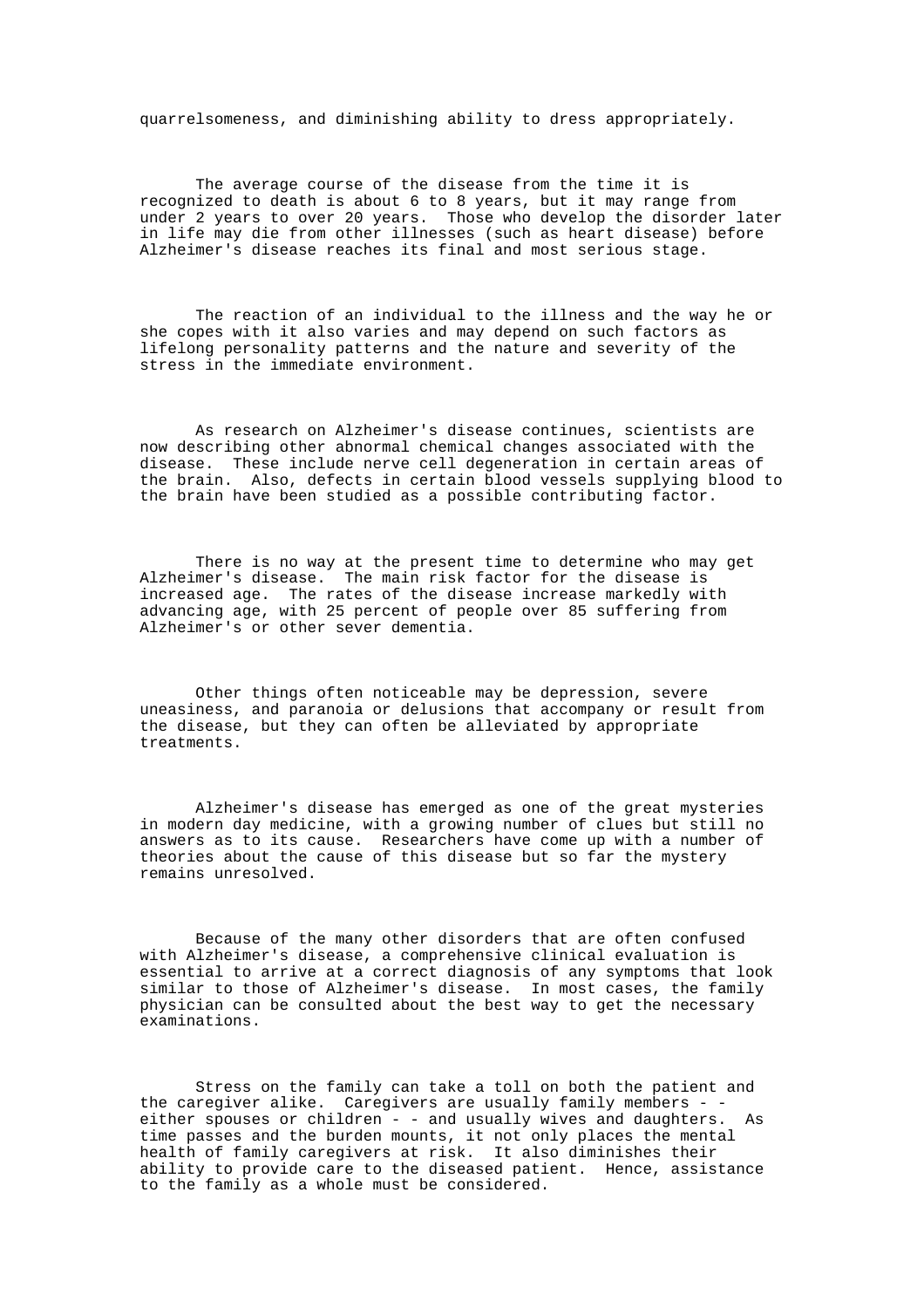quarrelsomeness, and diminishing ability to dress appropriately.

The average course of the disease from the time it is recognized to death is about 6 to 8 years, but it may range from under 2 years to over 20 years. Those who develop the disorder later in life may die from other illnesses (such as heart disease) before Alzheimer's disease reaches its final and most serious stage.

The reaction of an individual to the illness and the way he or she copes with it also varies and may depend on such factors as lifelong personality patterns and the nature and severity of the stress in the immediate environment.

As research on Alzheimer's disease continues, scientists are now describing other abnormal chemical changes associated with the disease. These include nerve cell degeneration in certain areas of the brain. Also, defects in certain blood vessels supplying blood to the brain have been studied as a possible contributing factor.

There is no way at the present time to determine who may get Alzheimer's disease. The main risk factor for the disease is increased age. The rates of the disease increase markedly with advancing age, with 25 percent of people over 85 suffering from Alzheimer's or other sever dementia.

Other things often noticeable may be depression, severe uneasiness, and paranoia or delusions that accompany or result from the disease, but they can often be alleviated by appropriate treatments.

Alzheimer's disease has emerged as one of the great mysteries in modern day medicine, with a growing number of clues but still no answers as to its cause. Researchers have come up with a number of theories about the cause of this disease but so far the mystery remains unresolved.

Because of the many other disorders that are often confused with Alzheimer's disease, a comprehensive clinical evaluation is essential to arrive at a correct diagnosis of any symptoms that look similar to those of Alzheimer's disease. In most cases, the family physician can be consulted about the best way to get the necessary examinations.

Stress on the family can take a toll on both the patient and the caregiver alike. Caregivers are usually family members - either spouses or children - - and usually wives and daughters. As time passes and the burden mounts, it not only places the mental health of family caregivers at risk. It also diminishes their ability to provide care to the diseased patient. Hence, assistance to the family as a whole must be considered.